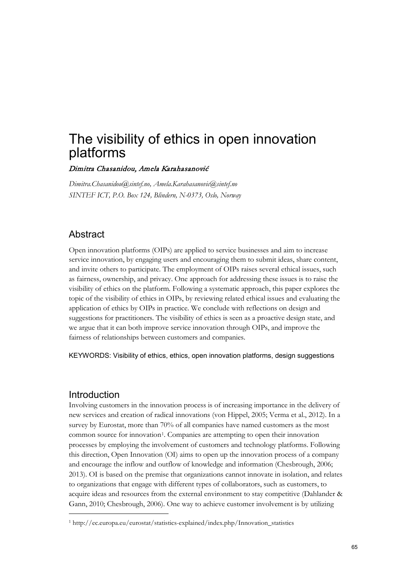# The visibility of ethics in open innovation platforms

### Dimitra Chasanidou, Amela Karahasanović

*[Dimitra.Chasanidou@sintef.no,](mailto:Dimitra.Chasanidou@sintef.no) Amela.Karahasanovic@sintef.no SINTEF ICT, P.O. Box 124, Blindern, N-0373, Oslo, Norway*

# Abstract

Open innovation platforms (OIPs) are applied to service businesses and aim to increase service innovation, by engaging users and encouraging them to submit ideas, share content, and invite others to participate. The employment of OIPs raises several ethical issues, such as fairness, ownership, and privacy. One approach for addressing these issues is to raise the visibility of ethics on the platform. Following a systematic approach, this paper explores the topic of the visibility of ethics in OIPs, by reviewing related ethical issues and evaluating the application of ethics by OIPs in practice. We conclude with reflections on design and suggestions for practitioners. The visibility of ethics is seen as a proactive design state, and we argue that it can both improve service innovation through OIPs, and improve the fairness of relationships between customers and companies.

KEYWORDS: Visibility of ethics, ethics, open innovation platforms, design suggestions

# Introduction

 $\overline{a}$ 

Involving customers in the innovation process is of increasing importance in the delivery of new services and creation of radical innovations (von Hippel, 2005; Verma et al., 2012). In a survey by Eurostat, more than 70% of all companies have named customers as the most common source for innovation<sup>[1](#page-0-0)</sup>. Companies are attempting to open their innovation processes by employing the involvement of customers and technology platforms. Following this direction, Open Innovation (OI) aims to open up the innovation process of a company and encourage the inflow and outflow of knowledge and information (Chesbrough, 2006; 2013). OI is based on the premise that organizations cannot innovate in isolation, and relates to organizations that engage with different types of collaborators, such as customers, to acquire ideas and resources from the external environment to stay competitive (Dahlander & Gann, 2010; Chesbrough, 2006). One way to achieve customer involvement is by utilizing

<span id="page-0-0"></span><sup>1</sup> http://ec.europa.eu/eurostat/statistics-explained/index.php/Innovation\_statistics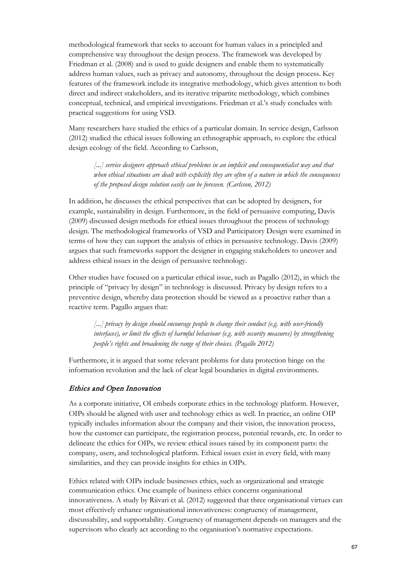methodological framework that seeks to account for human values in a principled and comprehensive way throughout the design process. The framework was developed by Friedman et al. (2008) and is used to guide designers and enable them to systematically address human values, such as privacy and autonomy, throughout the design process. Key features of the framework include its integrative methodology, which gives attention to both direct and indirect stakeholders, and its iterative tripartite methodology, which combines conceptual, technical, and empirical investigations. Friedman et al.'s study concludes with practical suggestions for using VSD.

Many researchers have studied the ethics of a particular domain. In service design, Carlsson (2012) studied the ethical issues following an ethnographic approach, to explore the ethical design ecology of the field. According to Carlsson,

 *[...] service designers approach ethical problems in an implicit and consequentialist way and that when ethical situations are dealt with explicitly they are often of a nature in which the consequences of the proposed design solution easily can be foreseen. (Carlsson, 2012)* 

In addition, he discusses the ethical perspectives that can be adopted by designers, for example, sustainability in design. Furthermore, in the field of persuasive computing, Davis (2009) discussed design methods for ethical issues throughout the process of technology design. The methodological frameworks of VSD and Participatory Design were examined in terms of how they can support the analysis of ethics in persuasive technology. Davis (2009) argues that such frameworks support the designer in engaging stakeholders to uncover and address ethical issues in the design of persuasive technology.

Other studies have focused on a particular ethical issue, such as Pagallo (2012), in which the principle of "privacy by design" in technology is discussed. Privacy by design refers to a preventive design, whereby data protection should be viewed as a proactive rather than a reactive term. Pagallo argues that:

 *[...] privacy by design should encourage people to change their conduct (e.g. with user-friendly interfaces), or limit the effects of harmful behaviour (e.g. with security measures) by strengthening people's rights and broadening the range of their choices. (Pagallo 2012)*

Furthermore, it is argued that some relevant problems for data protection hinge on the information revolution and the lack of clear legal boundaries in digital environments.

#### Ethics and Open Innovation

As a corporate initiative, OI embeds corporate ethics in the technology platform. However, OIPs should be aligned with user and technology ethics as well. In practice, an online OIP typically includes information about the company and their vision, the innovation process, how the customer can participate, the registration process, potential rewards, etc. In order to delineate the ethics for OIPs, we review ethical issues raised by its component parts: the company, users, and technological platform. Ethical issues exist in every field, with many similarities, and they can provide insights for ethics in OIPs.

Ethics related with OIPs include businesses ethics, such as organizational and strategic communication ethics. One example of business ethics concerns organisational innovativeness. A study by Riivari et al. (2012) suggested that three organisational virtues can most effectively enhance organisational innovativeness: congruency of management, discussability, and supportability. Congruency of management depends on managers and the supervisors who clearly act according to the organisation's normative expectations.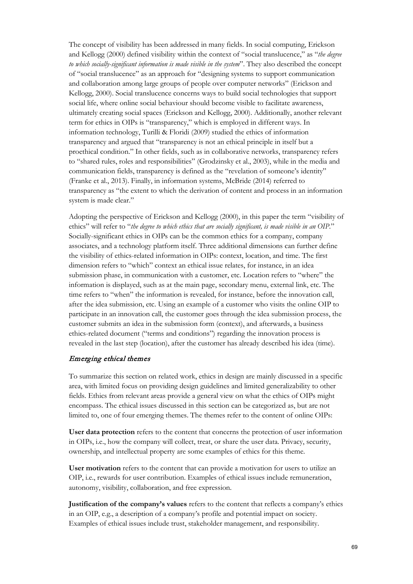The concept of visibility has been addressed in many fields. In social computing, Erickson and Kellogg (2000) defined visibility within the context of "social translucence," as "*the degree to which socially-significant information is made visible in the system*". They also described the concept of "social translucence" as an approach for "designing systems to support communication and collaboration among large groups of people over computer networks" (Erickson and Kellogg, 2000). Social translucence concerns ways to build social technologies that support social life, where online social behaviour should become visible to facilitate awareness, ultimately creating social spaces (Erickson and Kellogg, 2000). Additionally, another relevant term for ethics in OIPs is "transparency," which is employed in different ways. In information technology, Turilli & Floridi (2009) studied the ethics of information transparency and argued that "transparency is not an ethical principle in itself but a proethical condition." In other fields, such as in collaborative networks, transparency refers to "shared rules, roles and responsibilities" (Grodzinsky et al., 2003), while in the media and communication fields, transparency is defined as the "revelation of someone's identity" (Franke et al., 2013). Finally, in information systems, McBride (2014) referred to transparency as "the extent to which the derivation of content and process in an information system is made clear."

Adopting the perspective of Erickson and Kellogg (2000), in this paper the term "visibility of ethics" will refer to "*the degree to which ethics that are socially significant, is made visible in an OIP.*" Socially-significant ethics in OIPs can be the common ethics for a company, company associates, and a technology platform itself. Three additional dimensions can further define the visibility of ethics-related information in OIPs: context, location, and time. The first dimension refers to "which" context an ethical issue relates, for instance, in an idea submission phase, in communication with a customer, etc. Location refers to "where" the information is displayed, such as at the main page, secondary menu, external link, etc. The time refers to "when" the information is revealed, for instance, before the innovation call, after the idea submission, etc. Using an example of a customer who visits the online OIP to participate in an innovation call, the customer goes through the idea submission process, the customer submits an idea in the submission form (context), and afterwards, a business ethics-related document ("terms and conditions") regarding the innovation process is revealed in the last step (location), after the customer has already described his idea (time).

#### Emerging ethical themes

To summarize this section on related work, ethics in design are mainly discussed in a specific area, with limited focus on providing design guidelines and limited generalizability to other fields. Ethics from relevant areas provide a general view on what the ethics of OIPs might encompass. The ethical issues discussed in this section can be categorized as, but are not limited to, one of four emerging themes. The themes refer to the content of online OIPs:

**User data protection** refers to the content that concerns the protection of user information in OIPs, i.e., how the company will collect, treat, or share the user data. Privacy, security, ownership, and intellectual property are some examples of ethics for this theme.

**User motivation** refers to the content that can provide a motivation for users to utilize an OIP, i.e., rewards for user contribution. Examples of ethical issues include remuneration, autonomy, visibility, collaboration, and free expression.

**Justification of the company's values** refers to the content that reflects a company's ethics in an OIP, e.g., a description of a company's profile and potential impact on society. Examples of ethical issues include trust, stakeholder management, and responsibility.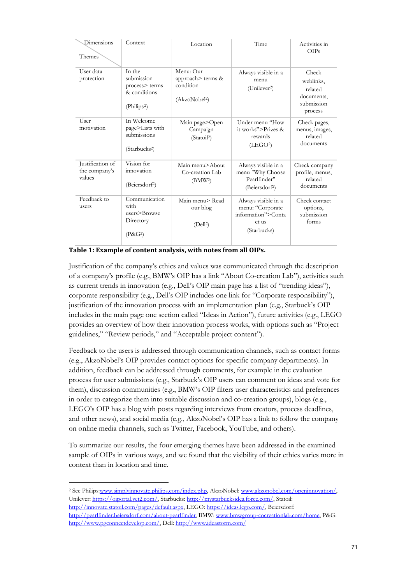| Dimensions<br>Themes                        | Context                                                                           | Location                                                                 | Time                                                                                  | Activities in<br>OIPs                                                |
|---------------------------------------------|-----------------------------------------------------------------------------------|--------------------------------------------------------------------------|---------------------------------------------------------------------------------------|----------------------------------------------------------------------|
| User data<br>protection                     | In the<br>submission<br>process> terms<br>& conditions<br>(Philips <sup>2</sup> ) | Menu: Our<br>approach> terms &<br>condition<br>(AkzoNobel <sup>2</sup> ) | Always visible in a<br>menu<br>(Unilever <sup>2</sup> )                               | Check<br>weblinks.<br>related<br>documents,<br>submission<br>process |
| User<br>motivation                          | In Welcome<br>page>Lists with<br>submissions<br>(Starbucks <sup>2</sup> )         | Main page>Open<br>Campaign<br>(Statoil <sup>2</sup> )                    | Under menu "How<br>it works">Prizes &<br>rewards<br>(LEGO <sup>2</sup> )              | Check pages,<br>menus, images,<br>related<br>documents               |
| Justification of<br>the company's<br>values | Vision for<br>innovation<br>(Beiersdorf <sup>2</sup> )                            | Main menu>About<br>Co-creation Lab<br>(BMW <sup>2</sup> )                | Always visible in a<br>menu "Why Choose<br>Pearlfinder"<br>(Beiersdorf <sup>2</sup> ) | Check company<br>profile, menus,<br>related<br>documents             |
| Feedback to<br>users                        | Communication<br>with<br>users>Browse<br>Directory<br>$(P\&G2)$                   | Main menu> Read<br>our blog<br>(Dell <sup>2</sup> )                      | Always visible in a<br>menu: "Corporate<br>information">Conta<br>ct us<br>(Starbucks) | Check contact<br>options,<br>submission<br>forms                     |

Justification of the company's ethics and values was communicated through the description of a company's profile (e.g., BMW's OIP has a link "About Co-creation Lab"), activities such as current trends in innovation (e.g., Dell's OIP main page has a list of "trending ideas"), corporate responsibility (e.g., Dell's OIP includes one link for "Corporate responsibility"), justification of the innovation process with an implementation plan (e.g., Starbuck's OIP includes in the main page one section called "Ideas in Action"), future activities (e.g., LEGO provides an overview of how their innovation process works, with options such as "Project guidelines," "Review periods," and "Acceptable project content").

Feedback to the users is addressed through communication channels, such as contact forms (e.g., AkzoNobel's OIP provides contact options for specific company departments). In addition, feedback can be addressed through comments, for example in the evaluation process for user submissions (e.g., Starbuck's OIP users can comment on ideas and vote for them), discussion communities (e.g., BMW's OIP filters user characteristics and preferences in order to categorize them into suitable discussion and co-creation groups), blogs (e.g., LEGO's OIP has a blog with posts regarding interviews from creators, process deadlines, and other news), and social media (e.g., AkzoNobel's OIP has a link to follow the company on online media channels, such as Twitter, Facebook, YouTube, and others).

To summarize our results, the four emerging themes have been addressed in the examined sample of OIPs in various ways, and we found that the visibility of their ethics varies more in context than in location and time.

 $\overline{a}$ 

<span id="page-6-0"></span><sup>2</sup> See Philip[s:www.simplyinnovate.philips.com/index.php,](http://www.simplyinnovate.philips.com/index.php) AkzoNobel[: www.akzonobel.com/openinnovation/,](http://www.akzonobel.com/openinnovation/)  Unilever: [https://oiportal.yet2.com/,](https://oiportal.yet2.com/) Starbucks[: http://mystarbucksidea.force.com/,](http://mystarbucksidea.force.com/) Statoil: [http://innovate.statoil.com/pages/default.aspx,](http://innovate.statoil.com/pages/default.aspx) LEGO: [https://ideas.lego.com/,](https://ideas.lego.com/) Beiersdorf: [http://pearlfinder.beiersdorf.com/about-pearlfinder,](http://pearlfinder.beiersdorf.com/about-pearlfinder) BMW[: www.bmwgroup-cocreationlab.com/home,](http://www.bmwgroup-cocreationlab.com/home) P&G:

[http://www.pgconnectdevelop.com/,](http://www.pgconnectdevelop.com/) Dell[: http://www.ideastorm.com/](http://www.ideastorm.com/)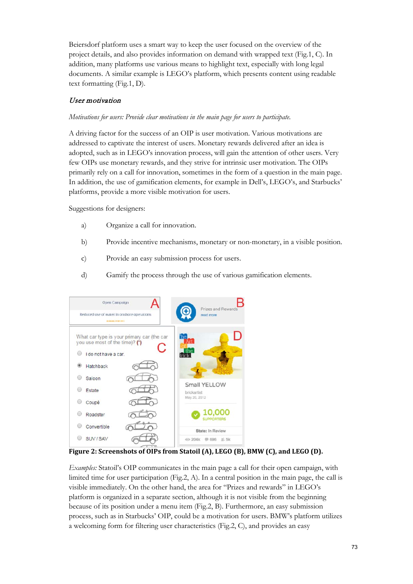Beiersdorf platform uses a smart way to keep the user focused on the overview of the project details, and also provides information on demand with wrapped text (Fig.1, C). In addition, many platforms use various means to highlight text, especially with long legal documents. A similar example is LEGO's platform, which presents content using readable text formatting (Fig.1, D).

## User motivation

#### *Motivations for users: Provide clear motivations in the main page for users to participate.*

A driving factor for the success of an OIP is user motivation. Various motivations are addressed to captivate the interest of users. Monetary rewards delivered after an idea is adopted, such as in LEGO's innovation process, will gain the attention of other users. Very few OIPs use monetary rewards, and they strive for intrinsic user motivation. The OIPs primarily rely on a call for innovation, sometimes in the form of a question in the main page. In addition, the use of gamification elements, for example in Dell's, LEGO's, and Starbucks' platforms, provide a more visible motivation for users.

Suggestions for designers:

- a) Organize a call for innovation.
- b) Provide incentive mechanisms, monetary or non-monetary, in a visible position.
- c) Provide an easy submission process for users.
- d) Gamify the process through the use of various gamification elements.



**Figure 2: Screenshots of OIPs from Statoil (A), LEGO (B), BMW (C), and LEGO (D).**

*Examples:* Statoil's OIP communicates in the main page a call for their open campaign, with limited time for user participation (Fig.2, A). In a central position in the main page, the call is visible immediately. On the other hand, the area for "Prizes and rewards" in LEGO's platform is organized in a separate section, although it is not visible from the beginning because of its position under a menu item (Fig.2, B). Furthermore, an easy submission process, such as in Starbucks' OIP, could be a motivation for users. BMW's platform utilizes a welcoming form for filtering user characteristics (Fig.2, C), and provides an easy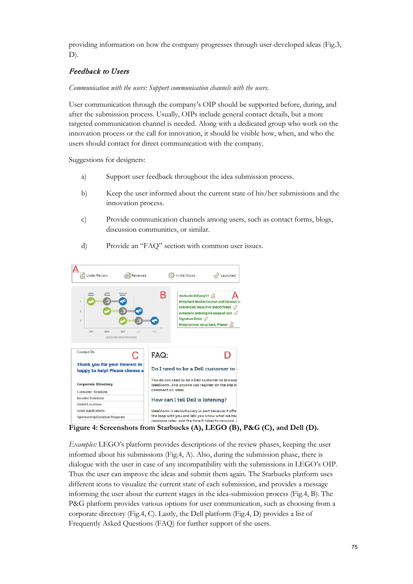providing information on how the company progresses through user-developed ideas (Fig.3, D).

## Feedback to Users

*Communication with the users: Support communication channels with the users.* 

User communication through the company's OIP should be supported before, during, and after the submission process. Usually, OIPs include general contact details, but a more targeted communication channel is needed. Along with a dedicated group who work on the innovation process or the call for innovation, it should be visible how, when, and who the users should contact for direct communication with the company.

Suggestions for designers:

- a) Support user feedback throughout the idea submission process.
- b) Keep the user informed about the current state of his/her submissions and the innovation process.
- c) Provide communication channels among users, such as contact forms, blogs, discussion communities, or similar.
- d) Provide an "FAQ" section with common user issues.



**Figure 4: Screenshots from Starbucks (A), LEGO (B), P&G (C), and Dell (D).**

*Examples:* LEGO's platform provides descriptions of the review phases, keeping the user informed about his submissions (Fig.4, A). Also, during the submission phase, there is dialogue with the user in case of any incompatibility with the submissions in LEGO's OIP. Thus the user can improve the ideas and submit them again. The Starbucks platform uses different icons to visualize the current state of each submission, and provides a message informing the user about the current stages in the idea-submission process (Fig.4, B). The P&G platform provides various options for user communication, such as choosing from a corporate directory (Fig.4, C). Lastly, the Dell platform (Fig.4, D) provides a list of Frequently Asked Questions (FAQ) for further support of the users.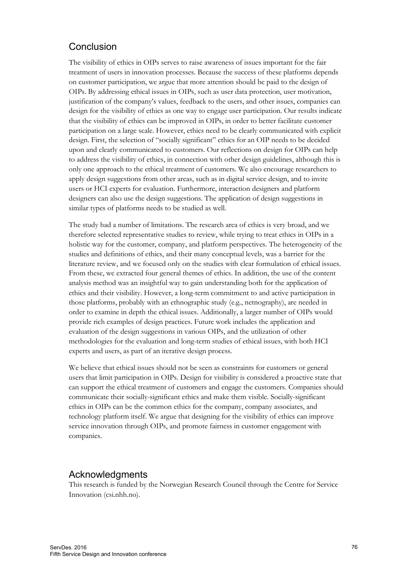# **Conclusion**

The visibility of ethics in OIPs serves to raise awareness of issues important for the fair treatment of users in innovation processes. Because the success of these platforms depends on customer participation, we argue that more attention should be paid to the design of OIPs. By addressing ethical issues in OIPs, such as user data protection, user motivation, justification of the company's values, feedback to the users, and other issues, companies can design for the visibility of ethics as one way to engage user participation. Our results indicate that the visibility of ethics can be improved in OIPs, in order to better facilitate customer participation on a large scale. However, ethics need to be clearly communicated with explicit design. First, the selection of "socially significant" ethics for an OIP needs to be decided upon and clearly communicated to customers. Our reflections on design for OIPs can help to address the visibility of ethics, in connection with other design guidelines, although this is only one approach to the ethical treatment of customers. We also encourage researchers to apply design suggestions from other areas, such as in digital service design, and to invite users or HCI experts for evaluation. Furthermore, interaction designers and platform designers can also use the design suggestions. The application of design suggestions in similar types of platforms needs to be studied as well.

The study had a number of limitations. The research area of ethics is very broad, and we therefore selected representative studies to review, while trying to treat ethics in OIPs in a holistic way for the customer, company, and platform perspectives. The heterogeneity of the studies and definitions of ethics, and their many conceptual levels, was a barrier for the literature review, and we focused only on the studies with clear formulation of ethical issues. From these, we extracted four general themes of ethics. In addition, the use of the content analysis method was an insightful way to gain understanding both for the application of ethics and their visibility. However, a long-term commitment to and active participation in those platforms, probably with an ethnographic study (e.g., netnography), are needed in order to examine in depth the ethical issues. Additionally, a larger number of OIPs would provide rich examples of design practices. Future work includes the application and evaluation of the design suggestions in various OIPs, and the utilization of other methodologies for the evaluation and long-term studies of ethical issues, with both HCI experts and users, as part of an iterative design process.

We believe that ethical issues should not be seen as constraints for customers or general users that limit participation in OIPs. Design for visibility is considered a proactive state that can support the ethical treatment of customers and engage the customers. Companies should communicate their socially-significant ethics and make them visible. Socially-significant ethics in OIPs can be the common ethics for the company, company associates, and technology platform itself. We argue that designing for the visibility of ethics can improve service innovation through OIPs, and promote fairness in customer engagement with companies.

# Acknowledgments

This research is funded by the Norwegian Research Council through the Centre for Service Innovation (csi.nhh.no).